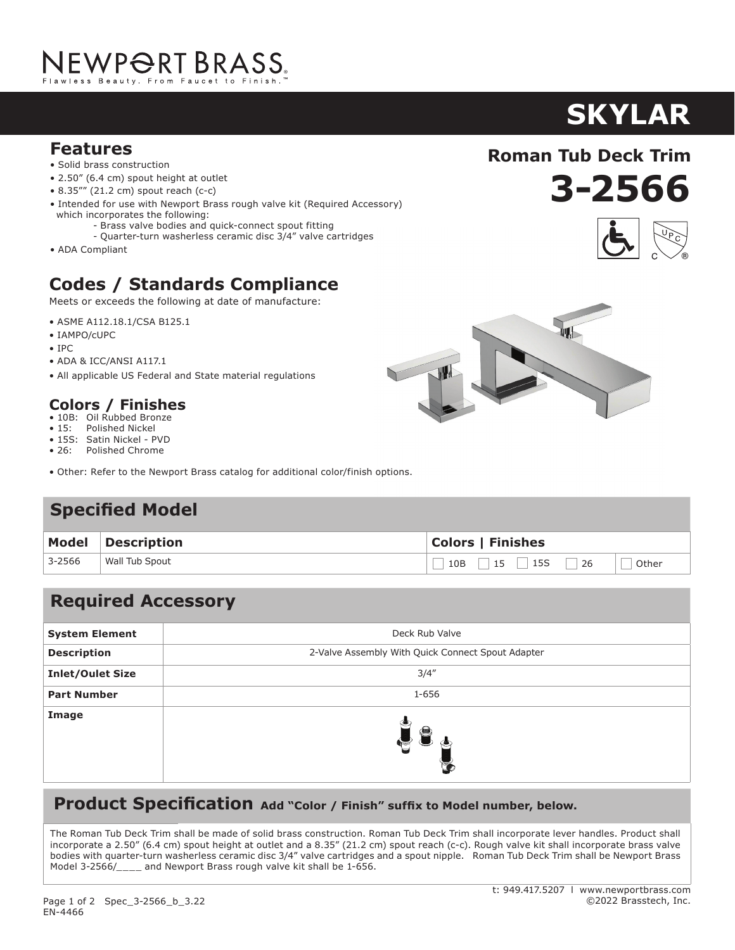# NEWP<del>O</del>RT BRASS.

# **Features**

- Solid brass construction
- 2.50" (6.4 cm) spout height at outlet
- 8.35"" (21.2 cm) spout reach (c-c)
- Intended for use with Newport Brass rough valve kit (Required Accessory) which incorporates the following:
	- Brass valve bodies and quick-connect spout fitting
	- Quarter-turn washerless ceramic disc 3/4" valve cartridges
- ADA Compliant

# **Codes / Standards Compliance**

Meets or exceeds the following at date of manufacture:

- ASME A112.18.1/CSA B125.1
- IAMPO/cUPC
- IPC
- ADA & ICC/ANSI A117.1
- All applicable US Federal and State material regulations

# **Colors / Finishes**

- 10B: Oil Rubbed Bronze<br>• 15: Polished Nickel
- Polished Nickel
- 15S: Satin Nickel PVD • 26: Polished Chrome
- Other: Refer to the Newport Brass catalog for additional color/finish options.

# **Specified Model**

|        | Model Description | <b>Colors   Finishes</b> |
|--------|-------------------|--------------------------|
| 3-2566 | Wall Tub Spout    | $\Box$ Other             |

## **Required Accessory**

| <b>System Element</b>   | Deck Rub Valve                                    |
|-------------------------|---------------------------------------------------|
| <b>Description</b>      | 2-Valve Assembly With Quick Connect Spout Adapter |
| <b>Inlet/Oulet Size</b> | 3/4''                                             |
| <b>Part Number</b>      | 1-656                                             |
| Image                   | $\blacktriangleright$                             |

## **Product Specification** Add "Color / Finish" suffix to Model number, below.

The Roman Tub Deck Trim shall be made of solid brass construction. Roman Tub Deck Trim shall incorporate lever handles. Product shall incorporate a 2.50" (6.4 cm) spout height at outlet and a 8.35" (21.2 cm) spout reach (c-c). Rough valve kit shall incorporate brass valve bodies with quarter-turn washerless ceramic disc 3/4" valve cartridges and a spout nipple. Roman Tub Deck Trim shall be Newport Brass Model 3-2566/\_\_\_\_ and Newport Brass rough valve kit shall be 1-656.

#### t: 949.417.5207 l www.newportbrass.com ©2022 Brasstech, Inc.

# **3-2566**

**Roman Tub Deck Trim**



# **SKYLAR**